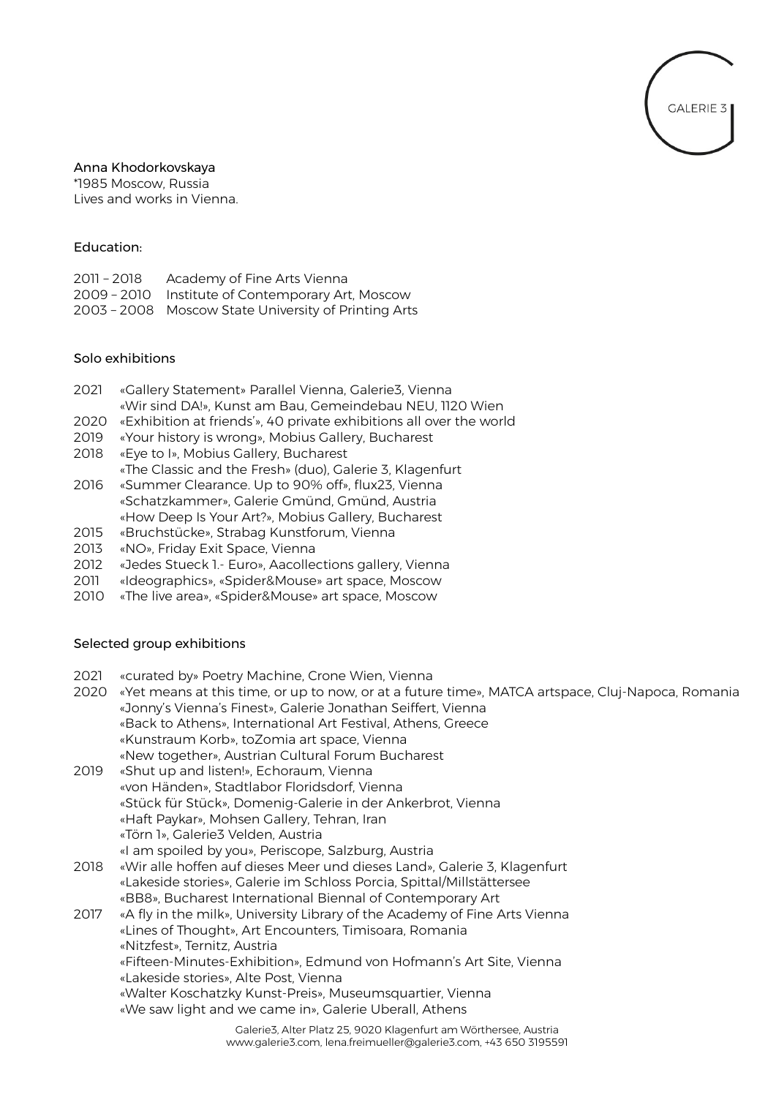

# Anna Khodorkovskaya

\*1985 Moscow, Russia Lives and works in Vienna.

### Education:

| 2011 - 2018 | Academy of Fine Arts Vienna                          |
|-------------|------------------------------------------------------|
|             | 2009 - 2010 Institute of Contemporary Art, Moscow    |
|             | 2003 - 2008 Moscow State University of Printing Arts |

### Solo exhibitions

- 2021 «Gallery Statement» Parallel Vienna, Galerie3, Vienna «Wir sind DA!», Kunst am Bau, Gemeindebau NEU, 1120 Wien
- 2020 «Exhibition at friends'», 40 private exhibitions all over the world
- 2019 «Your history is wrong», Mobius Gallery, Bucharest
- 2018 «Eye to I», Mobius Gallery, Bucharest
	- «The Classic and the Fresh» (duo), Galerie 3, Klagenfurt
- 2016 «Summer Clearance. Up to 90% off», flux23, Vienna «Schatzkammer», Galerie Gmünd, Gmünd, Austria «How Deep Is Your Art?», Mobius Gallery, Bucharest
- 2015 «Bruchstücke», Strabag Kunstforum, Vienna
- 
- 2013 «NO», Friday Exit Space, Vienna<br>2012 «Jedes Stueck 1.- Euro», Aacolle «Jedes Stueck 1.- Euro», Aacollections gallery, Vienna
- 2011 «Ideographics», «Spider&Mouse» art space, Moscow
- 2010 «The live area», «Spider&Mouse» art space, Moscow

# Selected group exhibitions

- 2021 «curated by» Poetry Machine, Crone Wien, Vienna
- 2020 «Yet means at this time, or up to now, or at a future time», MATCA artspace, Cluj-Napoca, Romania «Jonny's Vienna's Finest», Galerie Jonathan Seiffert, Vienna «Back to Athens», International Art Festival, Athens, Greece «Kunstraum Korb», toZomia art space, Vienna «New together», Austrian Cultural Forum Bucharest
- 2019 «Shut up and listen!», Echoraum, Vienna «von Händen», Stadtlabor Floridsdorf, Vienna «Stück für Stück», Domenig-Galerie in der Ankerbrot, Vienna «Haft Paykar», Mohsen Gallery, Tehran, Iran «Törn 1», Galerie3 Velden, Austria
- «I am spoiled by you», Periscope, Salzburg, Austria
- 2018 «Wir alle hoffen auf dieses Meer und dieses Land», Galerie 3, Klagenfurt «Lakeside stories», Galerie im Schloss Porcia, Spittal/Millstättersee «BB8», Bucharest International Biennal of Contemporary Art
- 2017 «A fly in the milk», University Library of the Academy of Fine Arts Vienna «Lines of Thought», Art Encounters, Timisoara, Romania «Nitzfest», Ternitz, Austria «Fifteen-Minutes-Exhibition», Edmund von Hofmann's Art Site, Vienna «Lakeside stories», Alte Post, Vienna «Walter Koschatzky Kunst-Preis», Museumsquartier, Vienna «We saw light and we came in», Galerie Uberall, Athens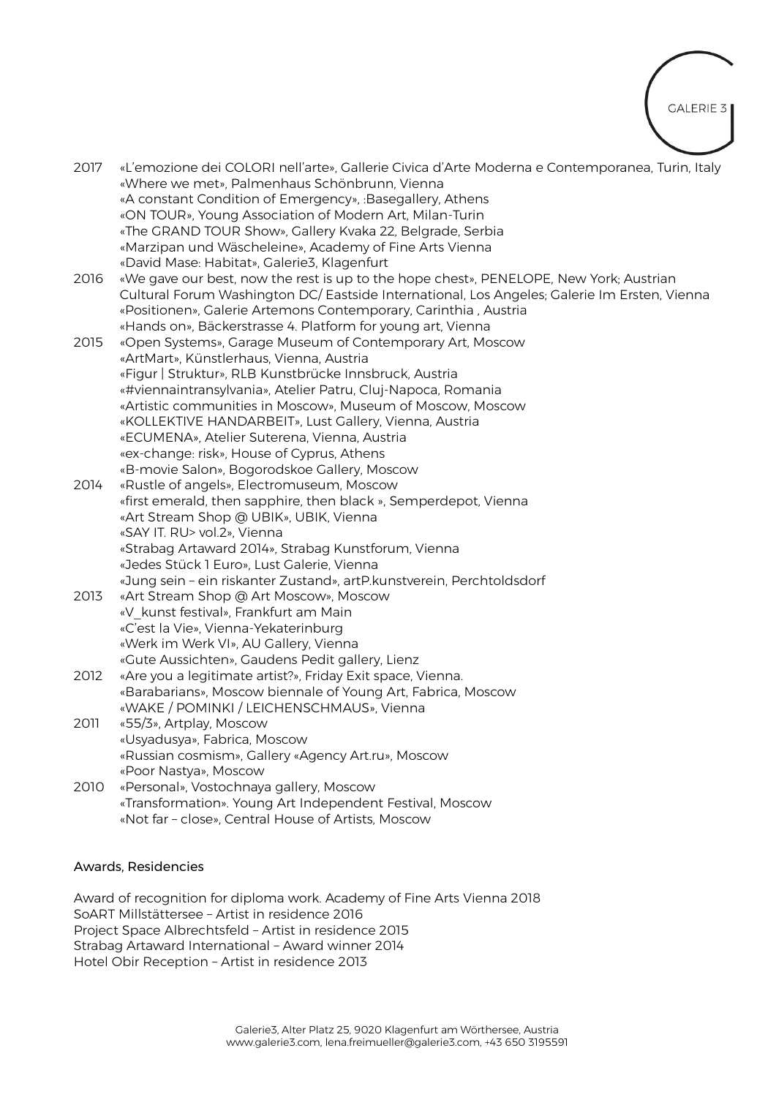

2017 «L'emozione dei COLORI nell'arte», Gallerie Civica d'Arte Moderna e Contemporanea, Turin, Italy «Where we met», Palmenhaus Schönbrunn, Vienna «A constant Condition of Emergency», :Basegallery, Athens «ON TOUR», Young Association of Modern Art, Milan-Turin «The GRAND TOUR Show», Gallery Kvaka 22, Belgrade, Serbia «Marzipan und Wäscheleine», Academy of Fine Arts Vienna «David Mase: Habitat», Galerie3, Klagenfurt

2016 «We gave our best, now the rest is up to the hope chest», PENELOPE, New York; Austrian Cultural Forum Washington DC/ Eastside International, Los Angeles; Galerie Im Ersten, Vienna «Positionen», Galerie Artemons Contemporary, Carinthia , Austria «Hands on», Bäckerstrasse 4. Platform for young art, Vienna

- 2015 «Open Systems», Garage Museum of Contemporary Art, Moscow «ArtMart», Künstlerhaus, Vienna, Austria «Figur | Struktur», RLB Kunstbrücke Innsbruck, Austria «#viennaintransylvania», Atelier Patru, Cluj-Napoca, Romania «Artistic communities in Moscow», Museum of Moscow, Moscow «KOLLEKTIVE HANDARBEIT», Lust Gallery, Vienna, Austria «ECUMENA», Atelier Suterena, Vienna, Austria «ex-change: risk», House of Cyprus, Athens «B-movie Salon», Bogorodskoe Gallery, Moscow
- 2014 «Rustle of angels», Electromuseum, Moscow «first emerald, then sapphire, then black », Semperdepot, Vienna «Art Stream Shop @ UBIK», UBIK, Vienna «SAY IT. RU> vol.2», Vienna «Strabag Artaward 2014», Strabag Kunstforum, Vienna «Jedes Stück 1 Euro», Lust Galerie, Vienna «Jung sein – ein riskanter Zustand», artP.kunstverein, Perchtoldsdorf
- 2013 «Art Stream Shop @ Art Moscow», Moscow «V\_kunst festival», Frankfurt am Main «C'est la Vie», Vienna-Yekaterinburg «Werk im Werk VI», AU Gallery, Vienna «Gute Aussichten», Gaudens Pedit gallery, Lienz
- 2012 «Are you a legitimate artist?», Friday Exit space, Vienna. «Barabarians», Moscow biennale of Young Art, Fabrica, Moscow «WAKE / POMINKI / LEICHENSCHMAUS», Vienna
- 2011 «55/3», Artplay, Moscow «Usyadusya», Fabrica, Moscow «Russian cosmism», Gallery «Agency Art.ru», Moscow «Poor Nastya», Moscow
- 2010 «Personal», Vostochnaya gallery, Moscow «Transformation». Young Art Independent Festival, Moscow «Not far – close», Central House of Artists, Moscow

# Awards, Residencies

Award of recognition for diploma work. Academy of Fine Arts Vienna 2018 SoART Millstättersee – Artist in residence 2016 Project Space Albrechtsfeld – Artist in residence 2015 Strabag Artaward International – Award winner 2014 Hotel Obir Reception – Artist in residence 2013